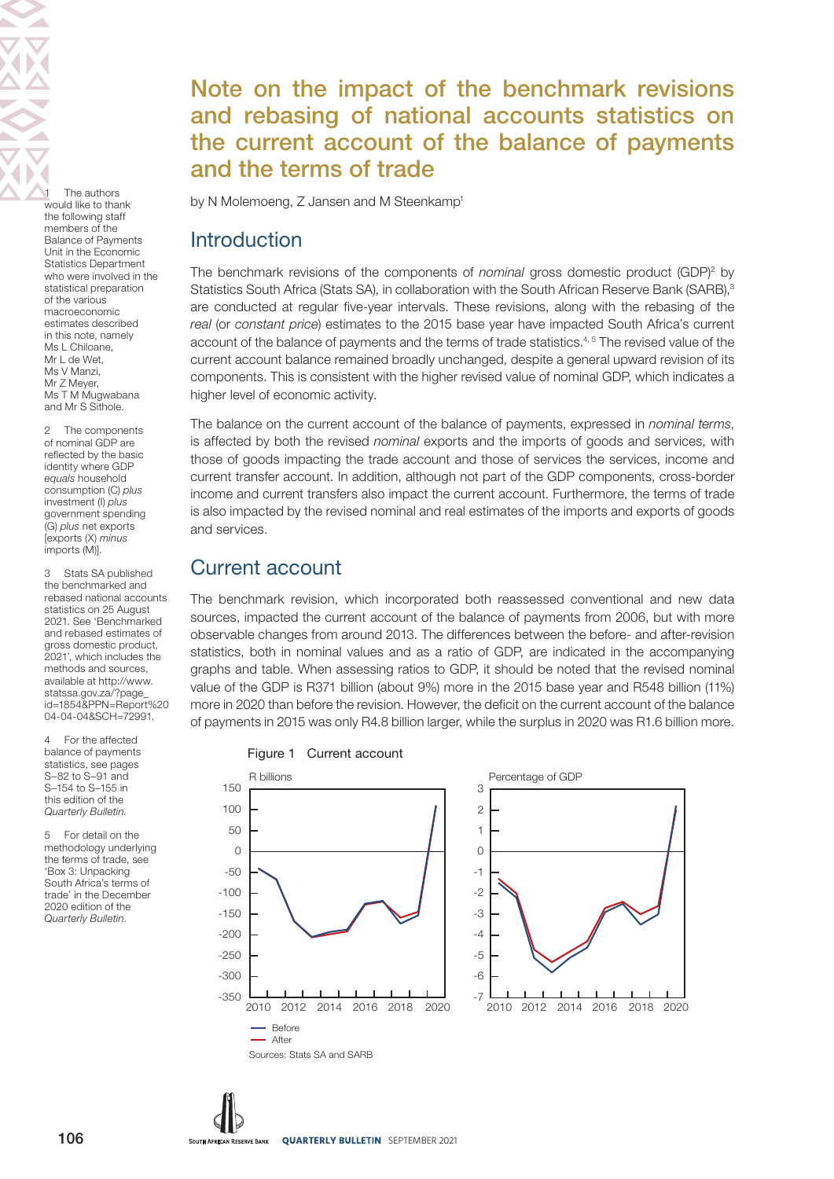The authors would like to thank the following staff members of the Balance of Payments Unit in the Economic Statistics Department who were involved in the statistical preparation of the various macroeconomic estimates described in this note, namely Ms L Chiloane, Mr L de Wet, Ms V Manzi Mr Z Meyer, Ms T M Mugwabana and Mr S Sithole.

2 The components of nominal GDP are reflected by the basic identity where GDP equals household consumption (C) plus investment (I) plus government spending (G) plus net exports [exports (X) minus imports (M)].

3 Stats SA published the benchmarked and rebased national accounts statistics on 25 August 2021. See 'Benchmarked and rebased estimates of gross domestic product, 2021', which includes the methods and sources, available at [http://www.](http://www.statssa.gov.za/?page_id=1854&PPN=Report%2004-04-04&SCH=72991.) [statssa.gov.za/?page\\_](http://www.statssa.gov.za/?page_id=1854&PPN=Report%2004-04-04&SCH=72991.) [id=1854&PPN=Report%20](http://www.statssa.gov.za/?page_id=1854&PPN=Report%2004-04-04&SCH=72991.) [04-04-04&SCH=72991.](http://www.statssa.gov.za/?page_id=1854&PPN=Report%2004-04-04&SCH=72991.)

4 For the affected balance of payments statistics, see pages S–82 to S–91 and S–154 to S–155 in this edition of the Quarterly Bulletin.

5 For detail on the methodology underlying the terms of trade, see 'Box 3: Unpacking South Africa's terms of trade' in the December 2020 edition of the Quarterly Bulletin.

# Note on the impact of the benchmark revisions and rebasing of national accounts statistics on the current account of the balance of payments and the terms of trade

by N Molemoeng, Z Jansen and M Steenkamp<sup>1</sup>

## **Introduction**

The benchmark revisions of the components of nominal gross domestic product (GDP)<sup>2</sup> by Statistics South Africa (Stats SA), in collaboration with the South African Reserve Bank (SARB),<sup>3</sup> are conducted at regular five-year intervals. These revisions, along with the rebasing of the real (or constant price) estimates to the 2015 base year have impacted South Africa's current account of the balance of payments and the terms of trade statistics.<sup>4,5</sup> The revised value of the current account balance remained broadly unchanged, despite a general upward revision of its components. This is consistent with the higher revised value of nominal GDP, which indicates a higher level of economic activity.

The balance on the current account of the balance of payments, expressed in nominal terms, is affected by both the revised nominal exports and the imports of goods and services, with those of goods impacting the trade account and those of services the services, income and current transfer account. In addition, although not part of the GDP components, cross-border income and current transfers also impact the current account. Furthermore, the terms of trade is also impacted by the revised nominal and real estimates of the imports and exports of goods and services.

## Current account

The benchmark revision, which incorporated both reassessed conventional and new data sources, impacted the current account of the balance of payments from 2006, but with more observable changes from around 2013. The differences between the before- and after-revision statistics, both in nominal values and as a ratio of GDP, are indicated in the accompanying graphs and table. When assessing ratios to GDP, it should be noted that the revised nominal value of the GDP is R371 billion (about 9%) more in the 2015 base year and R548 billion (11%) more in 2020 than before the revision. However, the deficit on the current account of the balance of payments in 2015 was only R4.8 billion larger, while the surplus in 2020 was R1.6 billion more.



106 SOUTH AFRICAN RESERVE BANK QUARTERLY BULLETIN SEPTEMBER 2021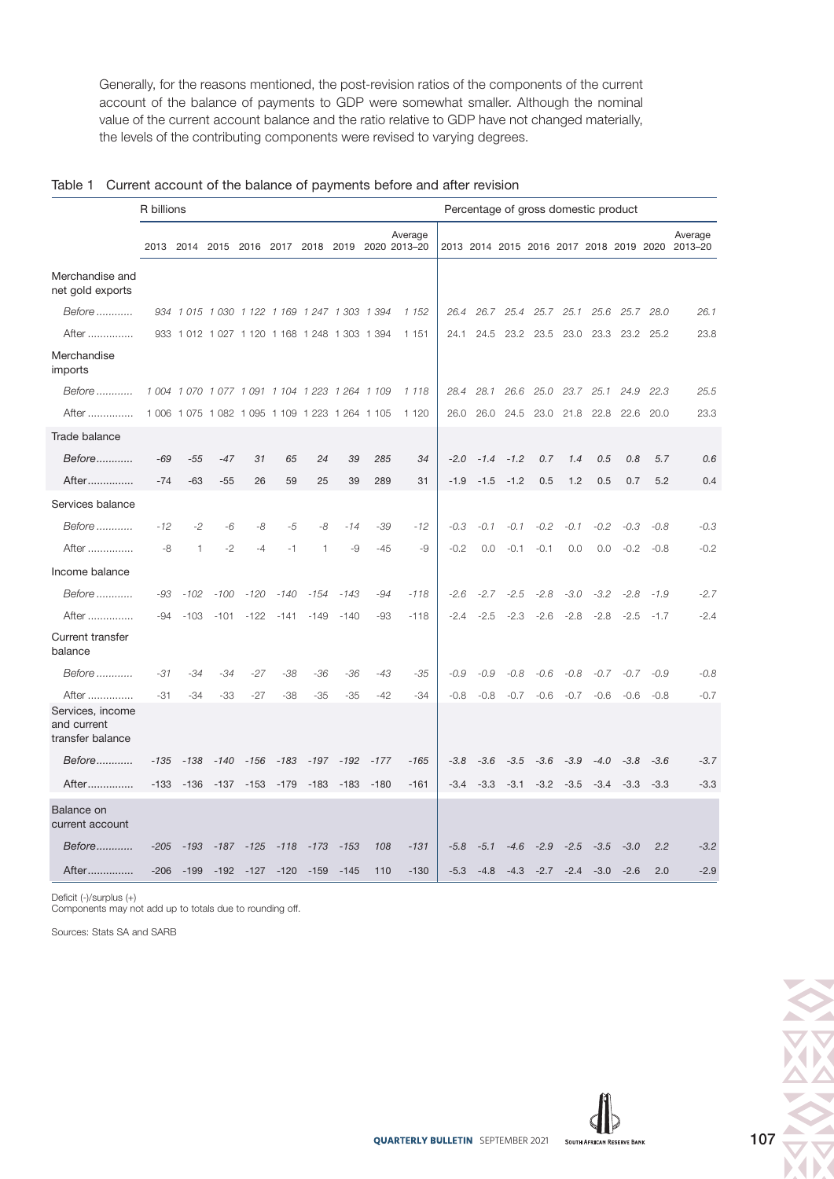Generally, for the reasons mentioned, the post-revision ratios of the components of the current account of the balance of payments to GDP were somewhat smaller. Although the nominal value of the current account balance and the ratio relative to GDP have not changed materially, the levels of the contributing components were revised to varying degrees.

|                                                     | R billions<br>Percentage of gross domestic product |        |        |                                                 |        |        |        |        |                                                            |        |        |        |                |           |                |        |                |                                                            |
|-----------------------------------------------------|----------------------------------------------------|--------|--------|-------------------------------------------------|--------|--------|--------|--------|------------------------------------------------------------|--------|--------|--------|----------------|-----------|----------------|--------|----------------|------------------------------------------------------------|
|                                                     |                                                    |        |        |                                                 |        |        |        |        | Average<br>2013 2014 2015 2016 2017 2018 2019 2020 2013-20 |        |        |        |                |           |                |        |                | Average<br>2013 2014 2015 2016 2017 2018 2019 2020 2013-20 |
| Merchandise and<br>net gold exports                 |                                                    |        |        |                                                 |        |        |        |        |                                                            |        |        |        |                |           |                |        |                |                                                            |
| Before                                              |                                                    |        |        | 934 1 015 1 030 1 122 1 169 1 247 1 303 1 394   |        |        |        |        | 1 1 5 2                                                    | 26.4   | 26.7   |        | 25.4 25.7 25.1 |           |                |        | 25.6 25.7 28.0 | 26.1                                                       |
| After                                               |                                                    |        |        | 933 1012 1027 1120 1168 1248 1303 1394          |        |        |        |        | 1 1 5 1                                                    | 24.1   | 24.5   |        | 23.2 23.5      | 23.0      | 23.3           |        | 23.2 25.2      | 23.8                                                       |
| Merchandise<br>imports                              |                                                    |        |        |                                                 |        |        |        |        |                                                            |        |        |        |                |           |                |        |                |                                                            |
| Before                                              |                                                    |        |        | 1 004 1 070 1 077 1 091 1 104 1 223 1 264 1 109 |        |        |        |        | 1 1 1 8                                                    | 28.4   | 28.1   | 26.6   |                |           | 25.0 23.7 25.1 | 24.9   | 22.3           | 25.5                                                       |
| After                                               |                                                    |        |        | 1 006 1 075 1 082 1 095 1 109 1 223 1 264 1 105 |        |        |        |        | 1 1 2 0                                                    | 26.0   | 26.0   | 24.5   |                | 23.0 21.8 | 22.8           | 22.6   | 20.0           | 23.3                                                       |
| Trade balance                                       |                                                    |        |        |                                                 |        |        |        |        |                                                            |        |        |        |                |           |                |        |                |                                                            |
| Before                                              | $-69$                                              | $-55$  | $-47$  | 31                                              | 65     | 24     | 39     | 285    | 34                                                         | $-2.0$ | $-1.4$ | $-1.2$ | 0.7            | 1.4       | 0.5            | 0.8    | 5.7            | 0.6                                                        |
| After                                               | $-74$                                              | $-63$  | $-55$  | 26                                              | 59     | 25     | 39     | 289    | 31                                                         | $-1.9$ | $-1.5$ | $-1.2$ | 0.5            | 1.2       | 0.5            | 0.7    | 5.2            | 0.4                                                        |
| Services balance                                    |                                                    |        |        |                                                 |        |        |        |        |                                                            |        |        |        |                |           |                |        |                |                                                            |
| Before                                              | $-12$                                              | -2     | -6     | -8                                              | -5     | -8     | $-14$  | $-39$  | $-12$                                                      | $-0.3$ | $-0.1$ | $-0.1$ | $-0.2$         | $-0.1$    | $-0.2$         | $-0.3$ | $-0.8$         | $-0.3$                                                     |
| After                                               | -8                                                 | 1      | $-2$   | -4                                              | -1     | 1      | -9     | $-45$  | -9                                                         | $-0.2$ | 0.0    | $-0.1$ | $-0.1$         | 0.0       | 0.0            | $-0.2$ | $-0.8$         | $-0.2$                                                     |
| Income balance                                      |                                                    |        |        |                                                 |        |        |        |        |                                                            |        |        |        |                |           |                |        |                |                                                            |
| Before                                              | -93                                                | $-102$ | $-100$ | $-120$                                          | $-140$ | -154   | $-143$ | $-94$  | $-118$                                                     | $-2.6$ | $-2.7$ | $-2.5$ | $-2.8$         | $-3.0$    | $-3.2$         | $-2.8$ | $-1.9$         | $-2.7$                                                     |
| After                                               | -94                                                | $-103$ | $-101$ | $-122$                                          | $-141$ | $-149$ | $-140$ | $-93$  | $-118$                                                     | $-2.4$ | $-2.5$ | $-2.3$ | $-2.6$         | $-2.8$    | $-2.8$         | $-2.5$ | $-1.7$         | $-2.4$                                                     |
| Current transfer<br>balance                         |                                                    |        |        |                                                 |        |        |        |        |                                                            |        |        |        |                |           |                |        |                |                                                            |
| Before                                              | -31                                                | $-34$  | -34    | -27                                             | $-38$  | $-36$  | $-36$  | $-43$  | -35                                                        | $-0.9$ | $-0.9$ | $-0.8$ | $-0.6$         | $-0.8$    | $-0.7$         | $-0.7$ | $-0.9$         | $-0.8$                                                     |
| After                                               | $-31$                                              | $-34$  | $-33$  | $-27$                                           | $-38$  | $-35$  | $-35$  | $-42$  | $-34$                                                      | $-0.8$ | $-0.8$ | $-0.7$ | $-0.6$         | $-0.7$    | $-0.6$         | $-0.6$ | $-0.8$         | $-0.7$                                                     |
| Services, income<br>and current<br>transfer balance |                                                    |        |        |                                                 |        |        |        |        |                                                            |        |        |        |                |           |                |        |                |                                                            |
| Before                                              | $-135$                                             | $-138$ | $-140$ | $-156$                                          | $-183$ | $-197$ | $-192$ | $-177$ | $-165$                                                     | $-3.8$ | $-3.6$ | $-3.5$ | $-3.6$         | $-3.9$    | $-4.0$         | $-3.8$ | $-3.6$         | $-3.7$                                                     |
| After                                               | $-133$                                             | $-136$ | $-137$ | $-153$                                          | $-179$ | $-183$ | $-183$ | $-180$ | $-161$                                                     | $-3.4$ | $-3.3$ | $-3.1$ | $-3.2$         | $-3.5$    | $-3.4$         | $-3.3$ | $-3.3$         | $-3.3$                                                     |
| Balance on<br>current account                       |                                                    |        |        |                                                 |        |        |        |        |                                                            |        |        |        |                |           |                |        |                |                                                            |
| Before                                              | $-205$                                             | $-193$ | $-187$ | $-125$                                          | $-118$ | $-173$ | $-153$ | 108    | $-131$                                                     | $-5.8$ | $-5.1$ | $-4.6$ | $-2.9$         | $-2.5$    | $-3.5$         | $-3.0$ | 2.2            | $-3.2$                                                     |
| After……………                                          | $-206$                                             | $-199$ | $-192$ | $-127$                                          | $-120$ | $-159$ | $-145$ | 110    | $-130$                                                     | $-5.3$ | $-4.8$ | $-4.3$ | $-2.7$         | $-2.4$    | $-3.0$         | $-2.6$ | 2.0            | $-2.9$                                                     |

Deficit (-)/surplus (+)

Components may not add up to totals due to rounding off.

Sources: Stats SA and SARB

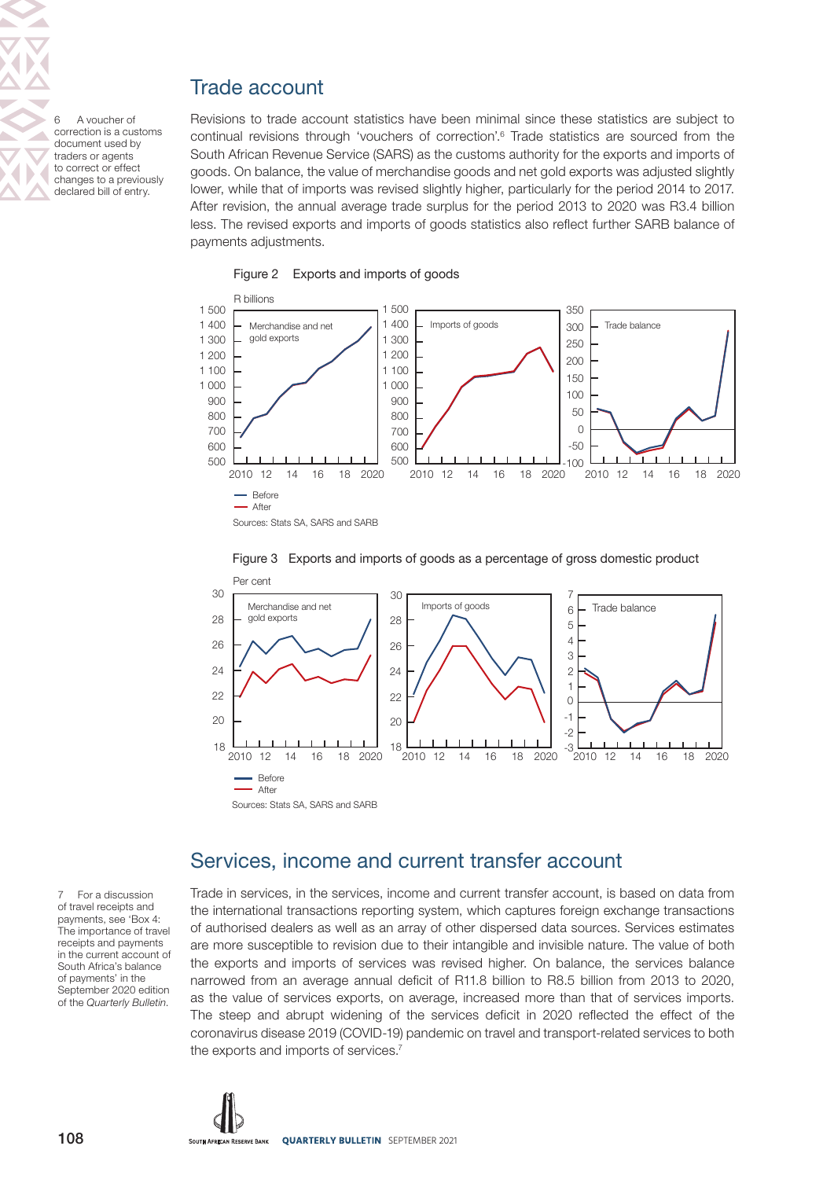# Trade account

6 A voucher of correction is a customs document used by traders or agents to correct or effect changes to a previously declared bill of entry.

Revisions to trade account statistics have been minimal since these statistics are subject to continual revisions through 'vouchers of correction'.<sup>6</sup> Trade statistics are sourced from the South African Revenue Service (SARS) as the customs authority for the exports and imports of goods. On balance, the value of merchandise goods and net gold exports was adjusted slightly lower, while that of imports was revised slightly higher, particularly for the period 2014 to 2017. After revision, the annual average trade surplus for the period 2013 to 2020 was R3.4 billion less. The revised exports and imports of goods statistics also reflect further SARB balance of payments adjustments.







#### Figure 3 Exports and imports of goods as a percentage of gross domestic product

### Services, income and current transfer account

Trade in services, in the services, income and current transfer account, is based on data from the international transactions reporting system, which captures foreign exchange transactions of authorised dealers as well as an array of other dispersed data sources. Services estimates are more susceptible to revision due to their intangible and invisible nature. The value of both the exports and imports of services was revised higher. On balance, the services balance narrowed from an average annual deficit of R11.8 billion to R8.5 billion from 2013 to 2020, as the value of services exports, on average, increased more than that of services imports. The steep and abrupt widening of the services deficit in 2020 reflected the effect of the coronavirus disease 2019 (COVID-19) pandemic on travel and transport-related services to both the exports and imports of services.7

7 For a discussion of travel receipts and payments, see 'Box 4: The importance of travel receipts and payments in the current account of South Africa's balance of payments' in the September 2020 edition of the Quarterly Bulletin.

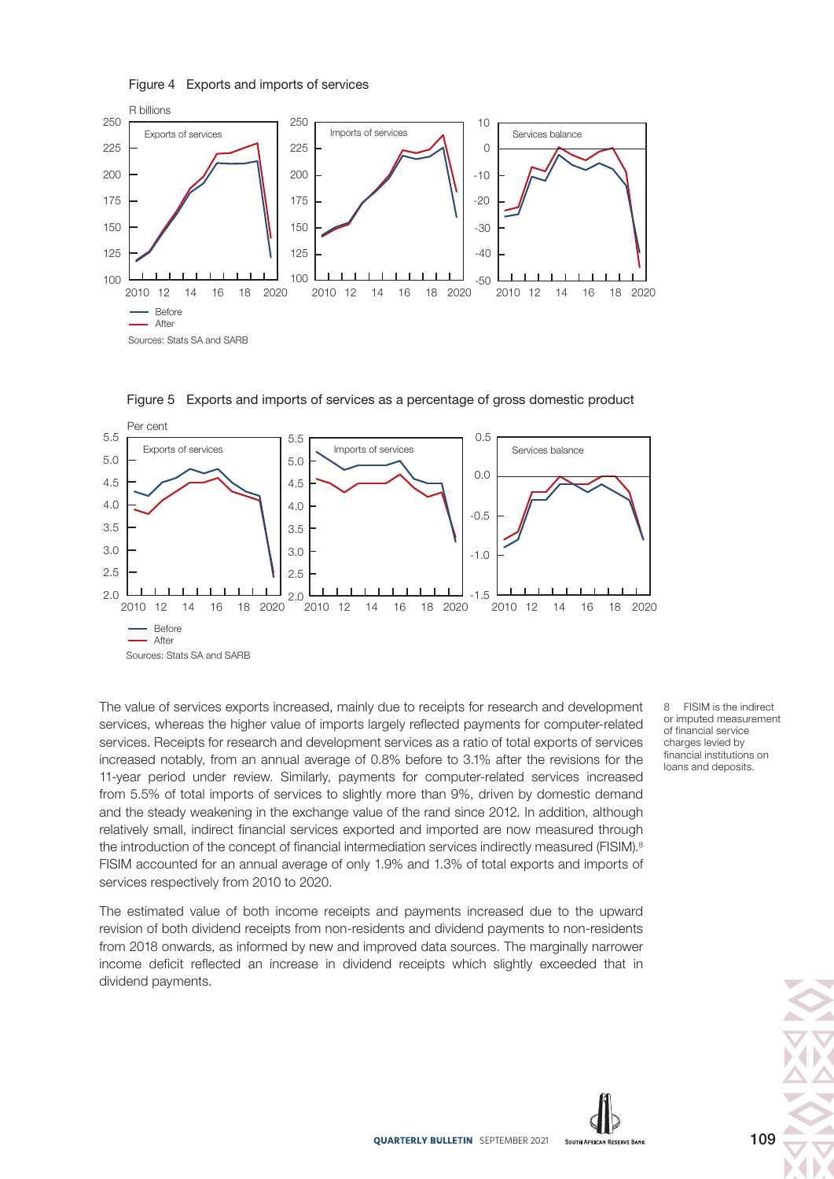Figure 4 Exports and imports of services





Figure 5 Exports and imports of services as a percentage of gross domestic product

The value of services exports increased, mainly due to receipts for research and development services, whereas the higher value of imports largely reflected payments for computer-related services. Receipts for research and development services as a ratio of total exports of services increased notably, from an annual average of 0.8% before to 3.1% after the revisions for the 11-year period under review. Similarly, payments for computer-related services increased from 5.5% of total imports of services to slightly more than 9%, driven by domestic demand and the steady weakening in the exchange value of the rand since 2012. In addition, although relatively small, indirect financial services exported and imported are now measured through the introduction of the concept of financial intermediation services indirectly measured (FISIM).<sup>8</sup> FISIM accounted for an annual average of only 1.9% and 1.3% of total exports and imports of services respectively from 2010 to 2020.

The estimated value of both income receipts and payments increased due to the upward revision of both dividend receipts from non-residents and dividend payments to non-residents from 2018 onwards, as informed by new and improved data sources. The marginally narrower income deficit reflected an increase in dividend receipts which slightly exceeded that in dividend payments.

8 FISIM is the indirect or imputed measurement of financial service charges levied by financial institutions on loans and deposits.

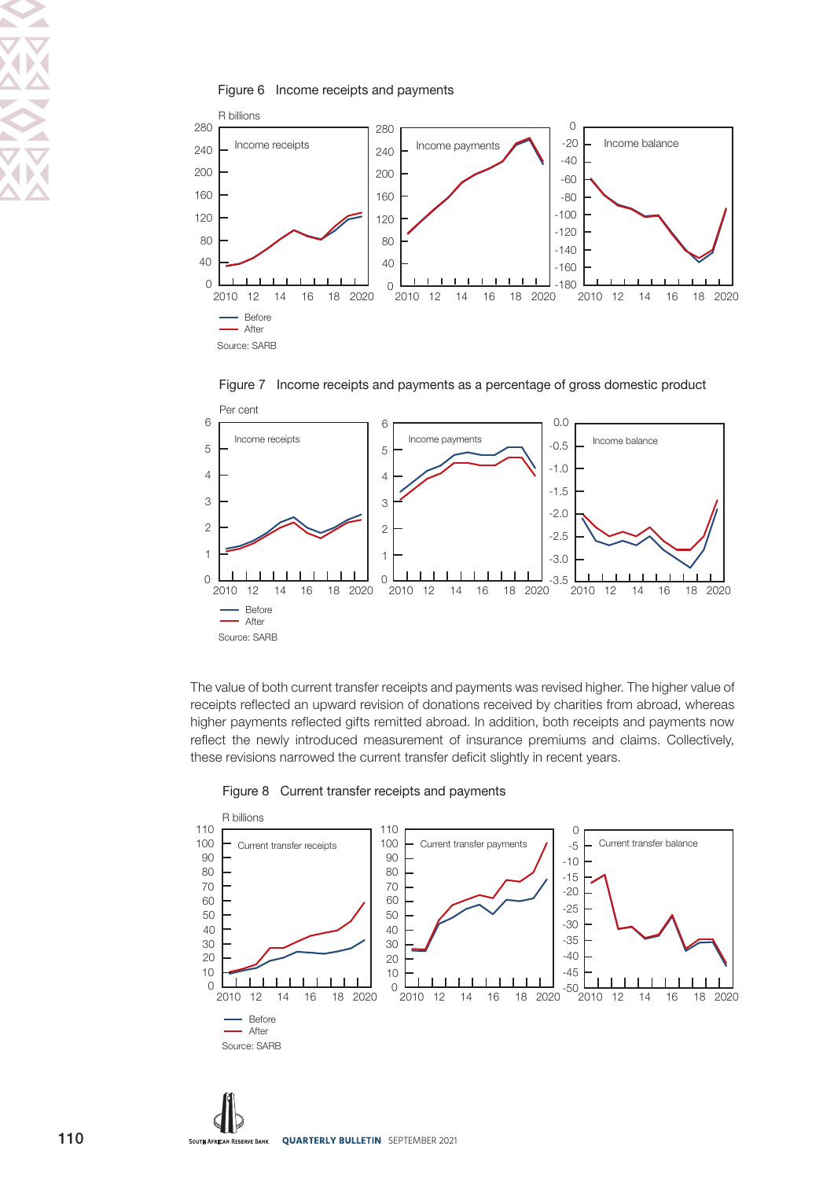





The value of both current transfer receipts and payments was revised higher. The higher value of receipts reflected an upward revision of donations received by charities from abroad, whereas higher payments reflected gifts remitted abroad. In addition, both receipts and payments now reflect the newly introduced measurement of insurance premiums and claims. Collectively, these revisions narrowed the current transfer deficit slightly in recent years.



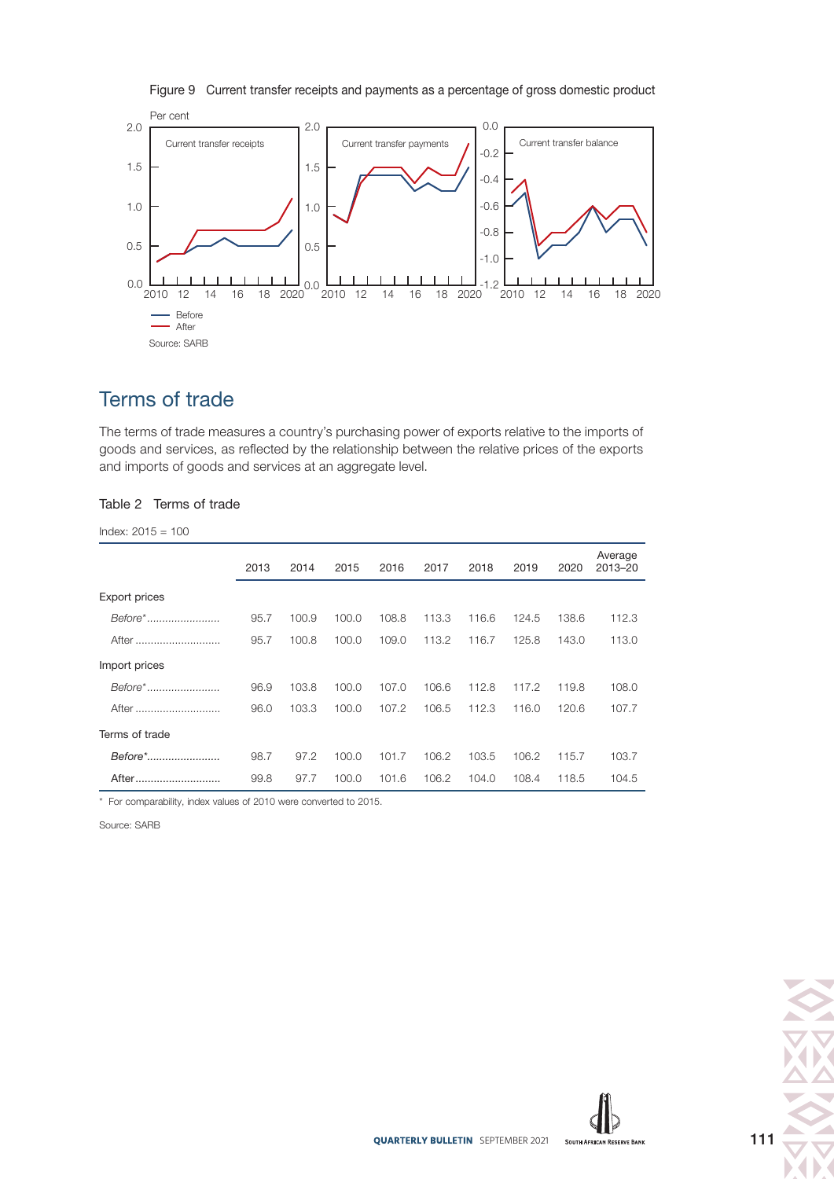

Figure 9 Current transfer receipts and payments as a percentage of gross domestic product

# Terms of trade

The terms of trade measures a country's purchasing power of exports relative to the imports of goods and services, as reflected by the relationship between the relative prices of the exports and imports of goods and services at an aggregate level.

#### Table 2 Terms of trade

Index: 2015 = 100

|                      | 2013 | 2014  | 2015  | 2016  | 2017  | 2018  | 2019  | 2020  | Average<br>2013-20 |
|----------------------|------|-------|-------|-------|-------|-------|-------|-------|--------------------|
| <b>Export prices</b> |      |       |       |       |       |       |       |       |                    |
| Before*              | 95.7 | 100.9 | 100.0 | 108.8 | 113.3 | 116.6 | 124.5 | 138.6 | 112.3              |
| After                | 95.7 | 100.8 | 100.0 | 109.0 | 113.2 | 116.7 | 125.8 | 143.0 | 113.0              |
| Import prices        |      |       |       |       |       |       |       |       |                    |
| Before*              | 96.9 | 103.8 | 100.0 | 107.0 | 106.6 | 112.8 | 117.2 | 119.8 | 108.0              |
| After                | 96.0 | 103.3 | 100.0 | 107.2 | 106.5 | 112.3 | 116.0 | 120.6 | 107.7              |
| Terms of trade       |      |       |       |       |       |       |       |       |                    |
| Before*              | 98.7 | 97.2  | 100.0 | 101.7 | 106.2 | 103.5 | 106.2 | 115.7 | 103.7              |
| After                | 99.8 | 97.7  | 100.0 | 101.6 | 106.2 | 104.0 | 108.4 | 118.5 | 104.5              |

\* For comparability, index values of 2010 were converted to 2015.

Source: SARB